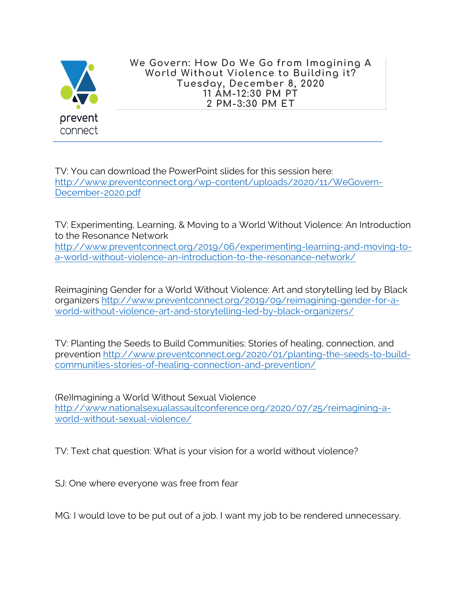

**We Govern: How Do We Go from Imagining A World Without Violence to Building it? Tuesday, December 8, 2020 11 AM-12:30 PM PT 2 PM-3:30 PM ET**

TV: You can download the PowerPoint slides for this session here: http://www.preventconnect.org/wp-content/uploads/2020/11/WeGovern-December-2020.pdf

TV: Experimenting, Learning, & Moving to a World Without Violence: An Introduction to the Resonance Network

http://www.preventconnect.org/2019/06/experimenting-learning-and-moving-toa-world-without-violence-an-introduction-to-the-resonance-network/

Reimagining Gender for a World Without Violence: Art and storytelling led by Black organizers http://www.preventconnect.org/2019/09/reimagining-gender-for-aworld-without-violence-art-and-storytelling-led-by-black-organizers/

TV: Planting the Seeds to Build Communities: Stories of healing, connection, and prevention http://www.preventconnect.org/2020/01/planting-the-seeds-to-buildcommunities-stories-of-healing-connection-and-prevention/

(Re)Imagining a World Without Sexual Violence http://www.nationalsexualassaultconference.org/2020/07/25/reimagining-aworld-without-sexual-violence/

TV: Text chat question: What is your vision for a world without violence?

SJ: One where everyone was free from fear

MG: I would love to be put out of a job. I want my job to be rendered unnecessary.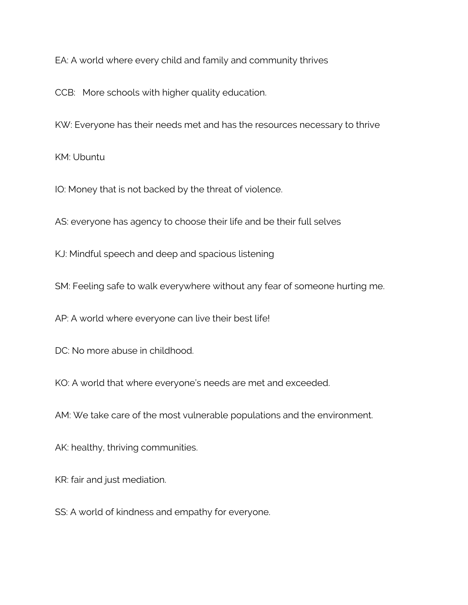EA: A world where every child and family and community thrives

CCB: More schools with higher quality education.

KW: Everyone has their needs met and has the resources necessary to thrive

KM: Ubuntu

IO: Money that is not backed by the threat of violence.

AS: everyone has agency to choose their life and be their full selves

KJ: Mindful speech and deep and spacious listening

SM: Feeling safe to walk everywhere without any fear of someone hurting me.

AP: A world where everyone can live their best life!

DC: No more abuse in childhood.

KO: A world that where everyone's needs are met and exceeded.

AM: We take care of the most vulnerable populations and the environment.

AK: healthy, thriving communities.

KR: fair and just mediation.

SS: A world of kindness and empathy for everyone.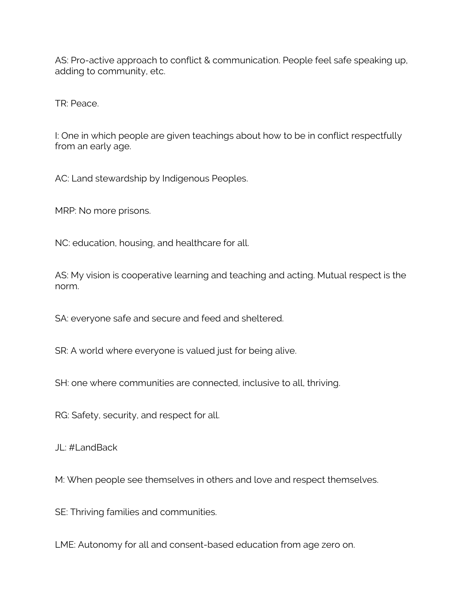AS: Pro-active approach to conflict & communication. People feel safe speaking up, adding to community, etc.

TR: Peace.

I: One in which people are given teachings about how to be in conflict respectfully from an early age.

AC: Land stewardship by Indigenous Peoples.

MRP: No more prisons.

NC: education, housing, and healthcare for all.

AS: My vision is cooperative learning and teaching and acting. Mutual respect is the norm.

SA: everyone safe and secure and feed and sheltered.

SR: A world where everyone is valued just for being alive.

SH: one where communities are connected, inclusive to all, thriving.

RG: Safety, security, and respect for all.

JL: #LandBack

M: When people see themselves in others and love and respect themselves.

SE: Thriving families and communities.

LME: Autonomy for all and consent-based education from age zero on.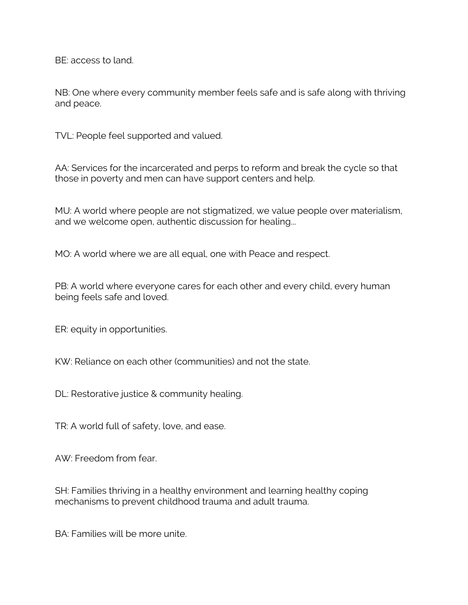BE: access to land.

NB: One where every community member feels safe and is safe along with thriving and peace.

TVL: People feel supported and valued.

AA: Services for the incarcerated and perps to reform and break the cycle so that those in poverty and men can have support centers and help.

MU: A world where people are not stigmatized, we value people over materialism, and we welcome open, authentic discussion for healing...

MO: A world where we are all equal, one with Peace and respect.

PB: A world where everyone cares for each other and every child, every human being feels safe and loved.

ER: equity in opportunities.

KW: Reliance on each other (communities) and not the state.

DL: Restorative justice & community healing.

TR: A world full of safety, love, and ease.

AW: Freedom from fear.

SH: Families thriving in a healthy environment and learning healthy coping mechanisms to prevent childhood trauma and adult trauma.

BA: Families will be more unite.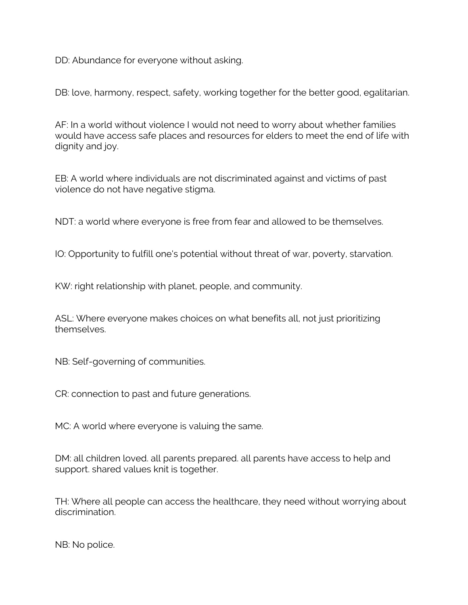DD: Abundance for everyone without asking.

DB: love, harmony, respect, safety, working together for the better good, egalitarian.

AF: In a world without violence I would not need to worry about whether families would have access safe places and resources for elders to meet the end of life with dignity and joy.

EB: A world where individuals are not discriminated against and victims of past violence do not have negative stigma.

NDT: a world where everyone is free from fear and allowed to be themselves.

IO: Opportunity to fulfill one's potential without threat of war, poverty, starvation.

KW: right relationship with planet, people, and community.

ASL: Where everyone makes choices on what benefits all, not just prioritizing themselves.

NB: Self-governing of communities.

CR: connection to past and future generations.

MC: A world where everyone is valuing the same.

DM: all children loved. all parents prepared. all parents have access to help and support. shared values knit is together.

TH: Where all people can access the healthcare, they need without worrying about discrimination.

NB: No police.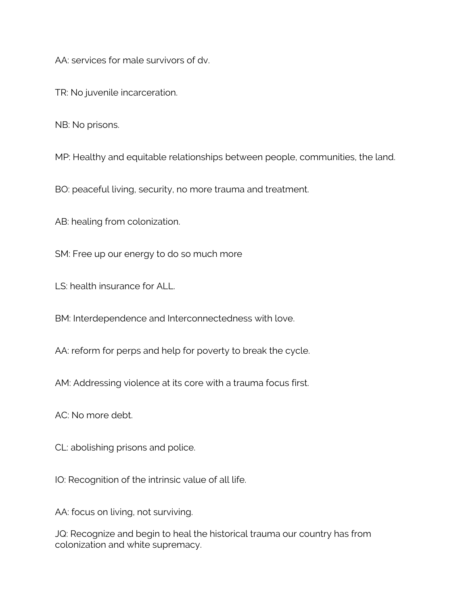AA: services for male survivors of dv.

TR: No juvenile incarceration.

NB: No prisons.

MP: Healthy and equitable relationships between people, communities, the land.

BO: peaceful living, security, no more trauma and treatment.

AB: healing from colonization.

SM: Free up our energy to do so much more

LS: health insurance for ALL.

BM: Interdependence and Interconnectedness with love.

AA: reform for perps and help for poverty to break the cycle.

AM: Addressing violence at its core with a trauma focus first.

AC: No more debt.

CL: abolishing prisons and police.

IO: Recognition of the intrinsic value of all life.

AA: focus on living, not surviving.

JQ: Recognize and begin to heal the historical trauma our country has from colonization and white supremacy.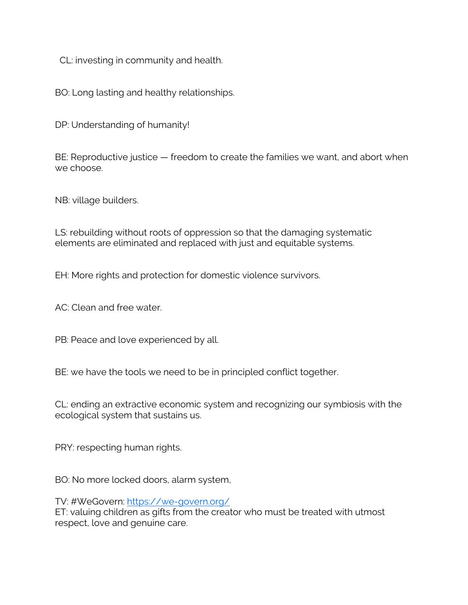CL: investing in community and health.

BO: Long lasting and healthy relationships.

DP: Understanding of humanity!

BE: Reproductive justice — freedom to create the families we want, and abort when we choose.

NB: village builders.

LS: rebuilding without roots of oppression so that the damaging systematic elements are eliminated and replaced with just and equitable systems.

EH: More rights and protection for domestic violence survivors.

AC: Clean and free water.

PB: Peace and love experienced by all.

BE: we have the tools we need to be in principled conflict together.

CL: ending an extractive economic system and recognizing our symbiosis with the ecological system that sustains us.

PRY: respecting human rights.

BO: No more locked doors, alarm system,

TV: #WeGovern: https://we-govern.org/

ET: valuing children as gifts from the creator who must be treated with utmost respect, love and genuine care.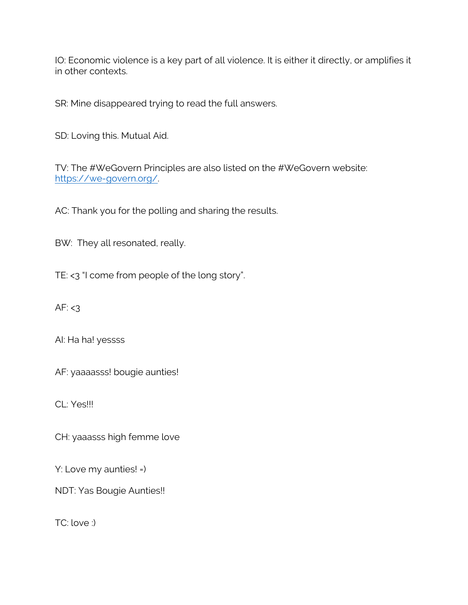IO: Economic violence is a key part of all violence. It is either it directly, or amplifies it in other contexts.

SR: Mine disappeared trying to read the full answers.

SD: Loving this. Mutual Aid.

TV: The #WeGovern Principles are also listed on the #WeGovern website: https://we-govern.org/.

AC: Thank you for the polling and sharing the results.

BW: They all resonated, really.

TE: <3 "I come from people of the long story".

AF:  $<$ 3

AI: Ha ha! yessss

AF: yaaaasss! bougie aunties!

CL: Yes!!!

CH: yaaasss high femme love

Y: Love my aunties! =)

NDT: Yas Bougie Aunties!!

TC: love :)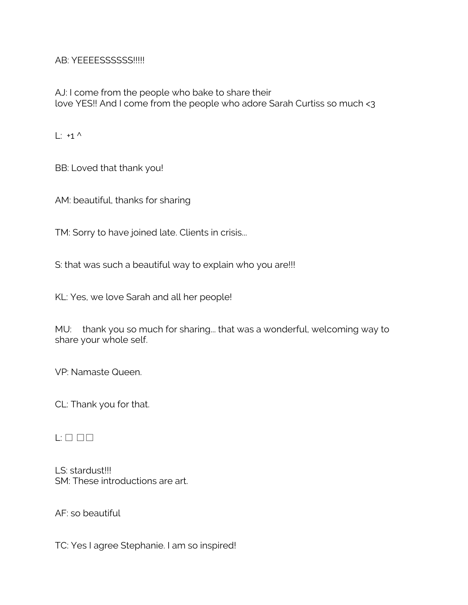AB: YEEEESSSSSS!!!!!

AJ: I come from the people who bake to share their love YES!! And I come from the people who adore Sarah Curtiss so much <3

 $\vdots$  +1 ^

BB: Loved that thank you!

AM: beautiful, thanks for sharing

TM: Sorry to have joined late. Clients in crisis...

S: that was such a beautiful way to explain who you are!!!

KL: Yes, we love Sarah and all her people!

MU: thank you so much for sharing... that was a wonderful, welcoming way to share your whole self.

VP: Namaste Queen.

CL: Thank you for that.

## $L: \Box \Box \Box$

LS: stardust!!! SM: These introductions are art.

AF: so beautiful

TC: Yes I agree Stephanie. I am so inspired!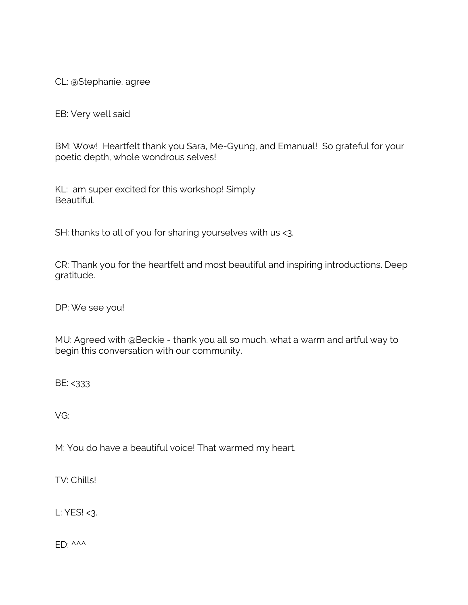CL: @Stephanie, agree

EB: Very well said

BM: Wow! Heartfelt thank you Sara, Me-Gyung, and Emanual! So grateful for your poetic depth, whole wondrous selves!

KL: am super excited for this workshop! Simply Beautiful.

SH: thanks to all of you for sharing yourselves with us <3.

CR: Thank you for the heartfelt and most beautiful and inspiring introductions. Deep gratitude.

DP: We see you!

MU: Agreed with @Beckie - thank you all so much. what a warm and artful way to begin this conversation with our community.

BE: <333

VG:

M: You do have a beautiful voice! That warmed my heart.

TV: Chills!

L: YES! <3.

 $FD: \triangle^{\wedge\wedge\wedge}$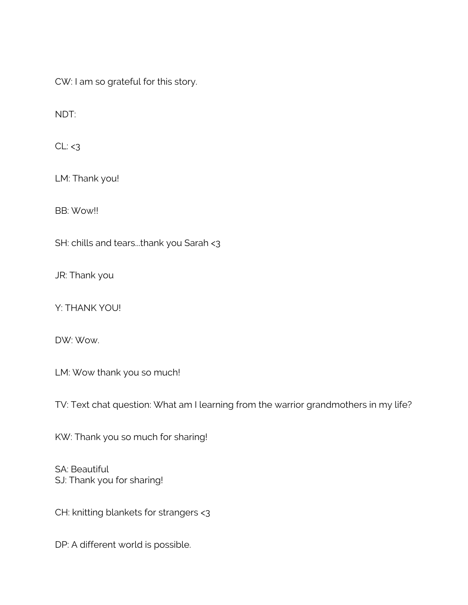CW: I am so grateful for this story.

NDT:

 $CL: < 3$ 

LM: Thank you!

BB: Wow!!

SH: chills and tears...thank you Sarah <3

JR: Thank you

Y: THANK YOU!

DW: Wow.

LM: Wow thank you so much!

TV: Text chat question: What am I learning from the warrior grandmothers in my life?

KW: Thank you so much for sharing!

SA: Beautiful SJ: Thank you for sharing!

CH: knitting blankets for strangers <3

DP: A different world is possible.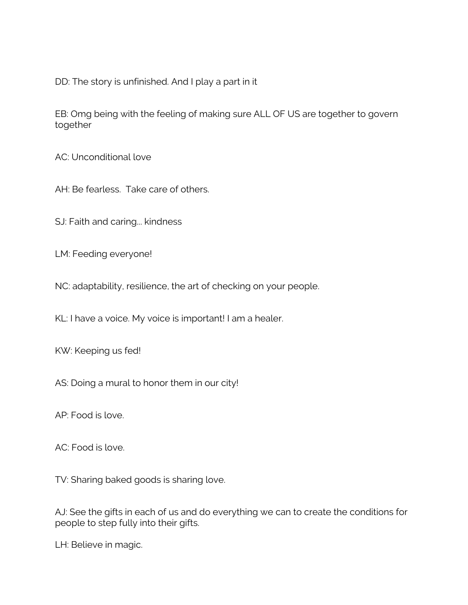DD: The story is unfinished. And I play a part in it

EB: Omg being with the feeling of making sure ALL OF US are together to govern together

AC: Unconditional love

AH: Be fearless. Take care of others.

SJ: Faith and caring... kindness

LM: Feeding everyone!

NC: adaptability, resilience, the art of checking on your people.

KL: I have a voice. My voice is important! I am a healer.

KW: Keeping us fed!

AS: Doing a mural to honor them in our city!

AP: Food is love.

AC: Food is love.

TV: Sharing baked goods is sharing love.

AJ: See the gifts in each of us and do everything we can to create the conditions for people to step fully into their gifts.

LH: Believe in magic.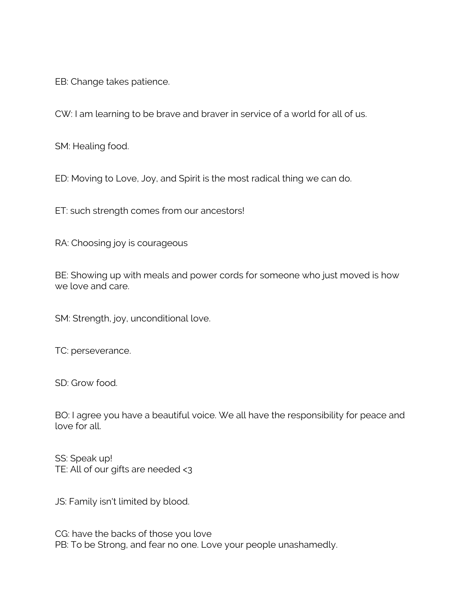EB: Change takes patience.

CW: I am learning to be brave and braver in service of a world for all of us.

SM: Healing food.

ED: Moving to Love, Joy, and Spirit is the most radical thing we can do.

ET: such strength comes from our ancestors!

RA: Choosing joy is courageous

BE: Showing up with meals and power cords for someone who just moved is how we love and care.

SM: Strength, joy, unconditional love.

TC: perseverance.

SD: Grow food.

BO: I agree you have a beautiful voice. We all have the responsibility for peace and love for all.

SS: Speak up! TE: All of our gifts are needed <3

JS: Family isn't limited by blood.

CG: have the backs of those you love PB: To be Strong, and fear no one. Love your people unashamedly.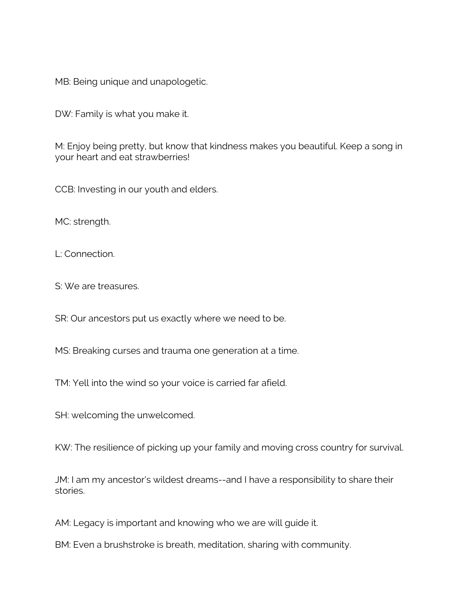MB: Being unique and unapologetic.

DW: Family is what you make it.

M: Enjoy being pretty, but know that kindness makes you beautiful. Keep a song in your heart and eat strawberries!

CCB: Investing in our youth and elders.

MC: strength.

L: Connection.

S: We are treasures.

SR: Our ancestors put us exactly where we need to be.

MS: Breaking curses and trauma one generation at a time.

TM: Yell into the wind so your voice is carried far afield.

SH: welcoming the unwelcomed.

KW: The resilience of picking up your family and moving cross country for survival.

JM: I am my ancestor's wildest dreams--and I have a responsibility to share their stories.

AM: Legacy is important and knowing who we are will guide it.

BM: Even a brushstroke is breath, meditation, sharing with community.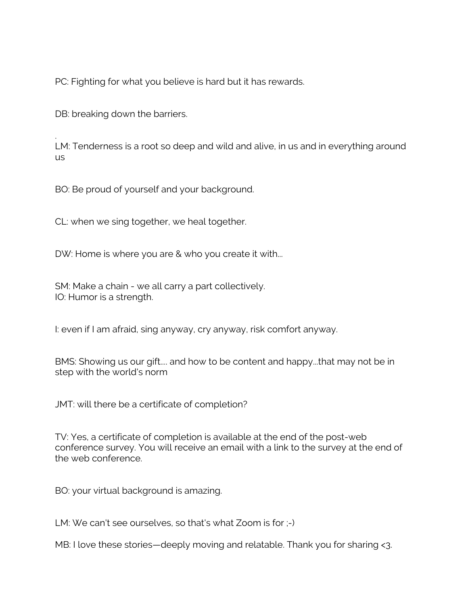PC: Fighting for what you believe is hard but it has rewards.

DB: breaking down the barriers.

. LM: Tenderness is a root so deep and wild and alive, in us and in everything around us

BO: Be proud of yourself and your background.

CL: when we sing together, we heal together.

DW: Home is where you are & who you create it with...

SM: Make a chain - we all carry a part collectively. IO: Humor is a strength.

I: even if I am afraid, sing anyway, cry anyway, risk comfort anyway.

BMS: Showing us our gift.... and how to be content and happy...that may not be in step with the world's norm

JMT: will there be a certificate of completion?

TV: Yes, a certificate of completion is available at the end of the post-web conference survey. You will receive an email with a link to the survey at the end of the web conference.

BO: your virtual background is amazing.

LM: We can't see ourselves, so that's what Zoom is for ;-)

MB: I love these stories—deeply moving and relatable. Thank you for sharing <3.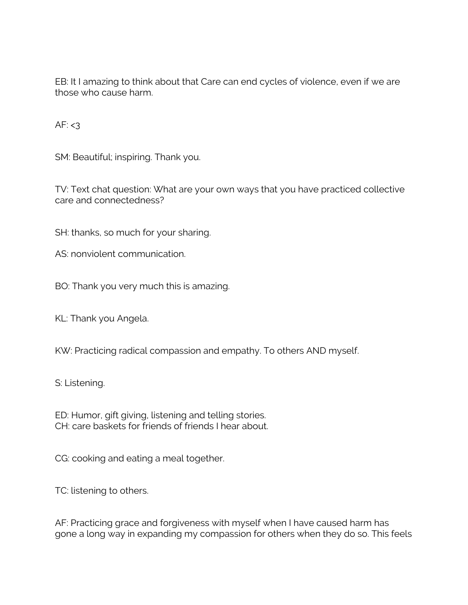EB: It I amazing to think about that Care can end cycles of violence, even if we are those who cause harm.

AF:  $<$ 3

SM: Beautiful; inspiring. Thank you.

TV: Text chat question: What are your own ways that you have practiced collective care and connectedness?

SH: thanks, so much for your sharing.

AS: nonviolent communication.

BO: Thank you very much this is amazing.

KL: Thank you Angela.

KW: Practicing radical compassion and empathy. To others AND myself.

S: Listening.

ED: Humor, gift giving, listening and telling stories. CH: care baskets for friends of friends I hear about.

CG: cooking and eating a meal together.

TC: listening to others.

AF: Practicing grace and forgiveness with myself when I have caused harm has gone a long way in expanding my compassion for others when they do so. This feels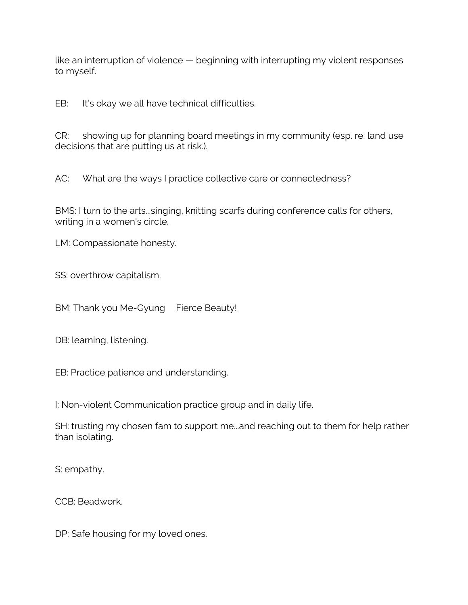like an interruption of violence — beginning with interrupting my violent responses to myself.

EB: It's okay we all have technical difficulties.

CR: showing up for planning board meetings in my community (esp. re: land use decisions that are putting us at risk.).

AC: What are the ways I practice collective care or connectedness?

BMS: I turn to the arts...singing, knitting scarfs during conference calls for others, writing in a women's circle.

LM: Compassionate honesty.

SS: overthrow capitalism.

BM: Thank you Me-Gyung Fierce Beauty!

DB: learning, listening.

EB: Practice patience and understanding.

I: Non-violent Communication practice group and in daily life.

SH: trusting my chosen fam to support me...and reaching out to them for help rather than isolating.

S: empathy.

CCB: Beadwork.

DP: Safe housing for my loved ones.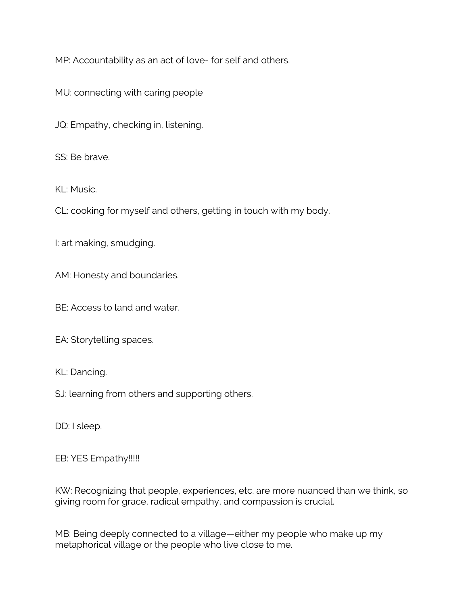MP: Accountability as an act of love- for self and others.

MU: connecting with caring people

JQ: Empathy, checking in, listening.

SS: Be brave.

KL: Music.

CL: cooking for myself and others, getting in touch with my body.

I: art making, smudging.

AM: Honesty and boundaries.

BE: Access to land and water.

EA: Storytelling spaces.

KL: Dancing.

SJ: learning from others and supporting others.

DD: I sleep.

EB: YES Empathy!!!!!

KW: Recognizing that people, experiences, etc. are more nuanced than we think, so giving room for grace, radical empathy, and compassion is crucial.

MB: Being deeply connected to a village—either my people who make up my metaphorical village or the people who live close to me.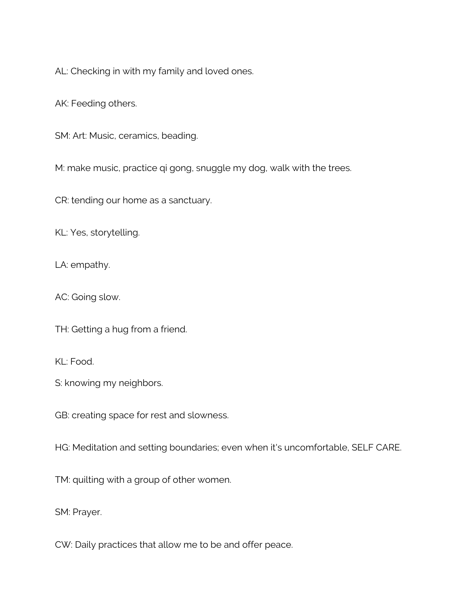AL: Checking in with my family and loved ones.

AK: Feeding others.

SM: Art: Music, ceramics, beading.

M: make music, practice qi gong, snuggle my dog, walk with the trees.

CR: tending our home as a sanctuary.

KL: Yes, storytelling.

LA: empathy.

AC: Going slow.

TH: Getting a hug from a friend.

KL: Food.

S: knowing my neighbors.

GB: creating space for rest and slowness.

HG: Meditation and setting boundaries; even when it's uncomfortable, SELF CARE.

TM: quilting with a group of other women.

SM: Prayer.

CW: Daily practices that allow me to be and offer peace.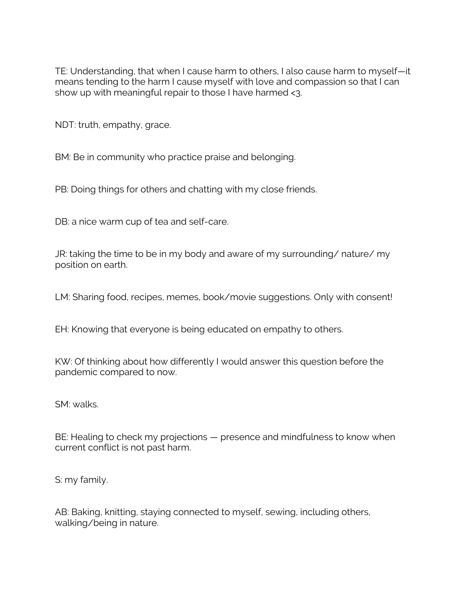TE: Understanding, that when I cause harm to others, I also cause harm to myself—it means tending to the harm I cause myself with love and compassion so that I can show up with meaningful repair to those I have harmed <3.

NDT: truth, empathy, grace.

BM: Be in community who practice praise and belonging.

PB: Doing things for others and chatting with my close friends.

DB: a nice warm cup of tea and self-care.

JR: taking the time to be in my body and aware of my surrounding/ nature/ my position on earth.

LM: Sharing food, recipes, memes, book/movie suggestions. Only with consent!

EH: Knowing that everyone is being educated on empathy to others.

KW: Of thinking about how differently I would answer this question before the pandemic compared to now.

SM: walks.

BE: Healing to check my projections – presence and mindfulness to know when current conflict is not past harm.

S: my family.

AB: Baking, knitting, staying connected to myself, sewing, including others, walking/being in nature.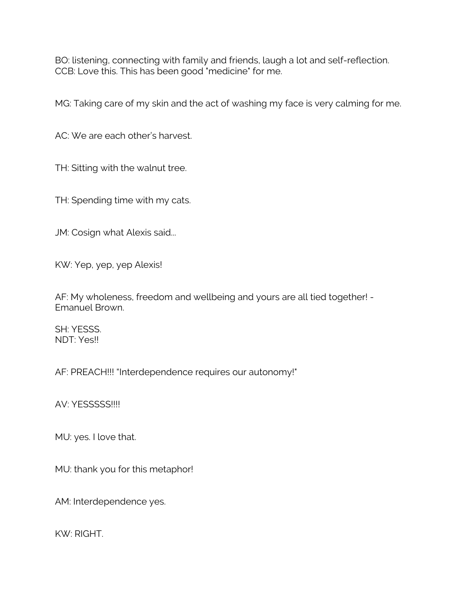BO: listening, connecting with family and friends, laugh a lot and self-reflection. CCB: Love this. This has been good "medicine" for me.

MG: Taking care of my skin and the act of washing my face is very calming for me.

AC: We are each other's harvest.

TH: Sitting with the walnut tree.

TH: Spending time with my cats.

JM: Cosign what Alexis said...

KW: Yep, yep, yep Alexis!

AF: My wholeness, freedom and wellbeing and yours are all tied together! - Emanuel Brown.

SH: YESSS. NDT: Yes!!

AF: PREACH!!! "Interdependence requires our autonomy!"

AV: YESSSSS!!!!

MU: yes. I love that.

MU: thank you for this metaphor!

AM: Interdependence yes.

KW: RIGHT.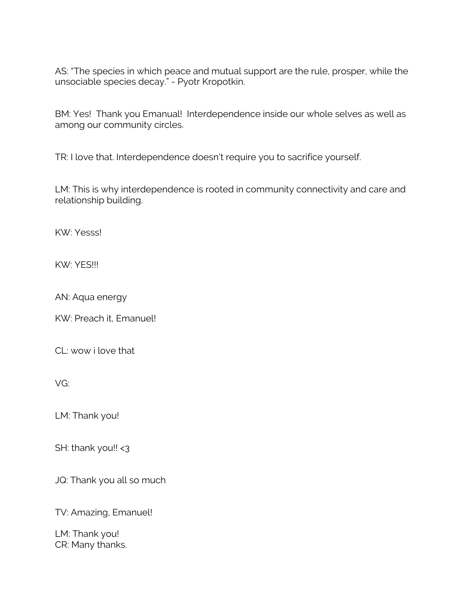AS: "The species in which peace and mutual support are the rule, prosper, while the unsociable species decay." - Pyotr Kropotkin.

BM: Yes! Thank you Emanual! Interdependence inside our whole selves as well as among our community circles.

TR: I love that. Interdependence doesn't require you to sacrifice yourself.

LM: This is why interdependence is rooted in community connectivity and care and relationship building.

KW: Yesss!

KW: YES!!!

AN: Aqua energy

KW: Preach it, Emanuel!

CL: wow i love that

VG:

LM: Thank you!

SH: thank you!! <3

JQ: Thank you all so much

TV: Amazing, Emanuel!

LM: Thank you! CR: Many thanks.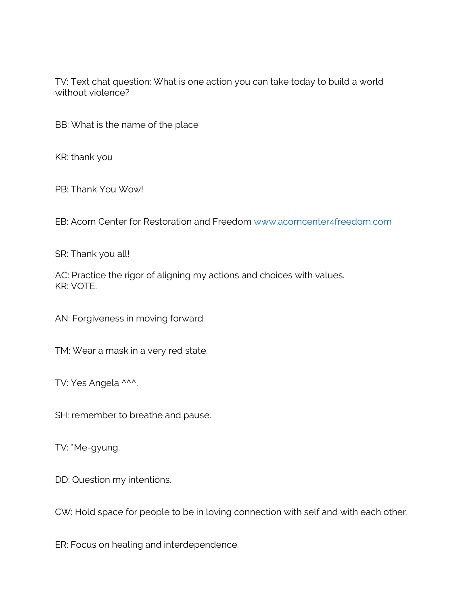TV: Text chat question: What is one action you can take today to build a world without violence?

BB: What is the name of the place

KR: thank you

PB: Thank You Wow!

EB: Acorn Center for Restoration and Freedom www.acorncenter4freedom.com

SR: Thank you all!

AC: Practice the rigor of aligning my actions and choices with values. KR: VOTE.

AN: Forgiveness in moving forward.

TM: Wear a mask in a very red state.

TV: Yes Angela ^^^.

SH: remember to breathe and pause.

TV: \*Me-gyung.

DD: Question my intentions.

CW: Hold space for people to be in loving connection with self and with each other.

ER: Focus on healing and interdependence.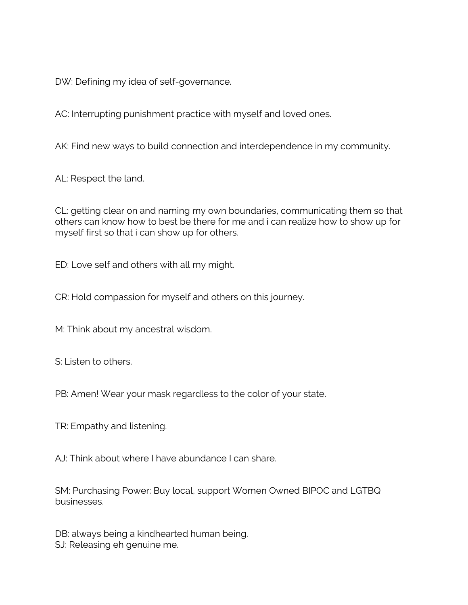DW: Defining my idea of self-governance.

AC: Interrupting punishment practice with myself and loved ones.

AK: Find new ways to build connection and interdependence in my community.

AL: Respect the land.

CL: getting clear on and naming my own boundaries, communicating them so that others can know how to best be there for me and i can realize how to show up for myself first so that i can show up for others.

ED: Love self and others with all my might.

CR: Hold compassion for myself and others on this journey.

M: Think about my ancestral wisdom.

S: Listen to others.

PB: Amen! Wear your mask regardless to the color of your state.

TR: Empathy and listening.

AJ: Think about where I have abundance I can share.

SM: Purchasing Power: Buy local, support Women Owned BIPOC and LGTBQ businesses.

DB: always being a kindhearted human being. SJ: Releasing eh genuine me.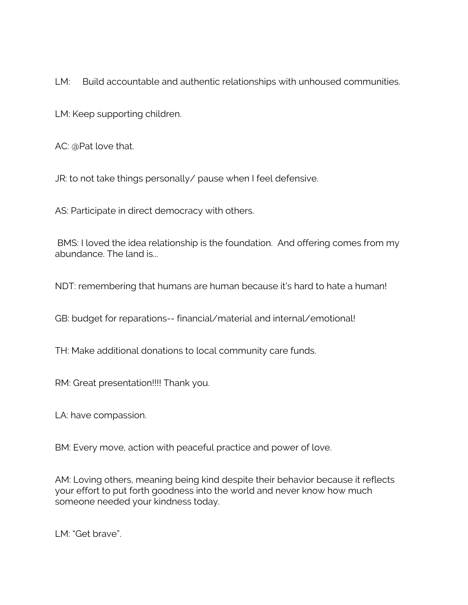LM: Build accountable and authentic relationships with unhoused communities.

LM: Keep supporting children.

AC: @Pat love that.

JR: to not take things personally/ pause when I feel defensive.

AS: Participate in direct democracy with others.

BMS: I loved the idea relationship is the foundation. And offering comes from my abundance. The land is...

NDT: remembering that humans are human because it's hard to hate a human!

GB: budget for reparations-- financial/material and internal/emotional!

TH: Make additional donations to local community care funds.

RM: Great presentation!!!! Thank you.

LA: have compassion.

BM: Every move, action with peaceful practice and power of love.

AM: Loving others, meaning being kind despite their behavior because it reflects your effort to put forth goodness into the world and never know how much someone needed your kindness today.

LM: "Get brave".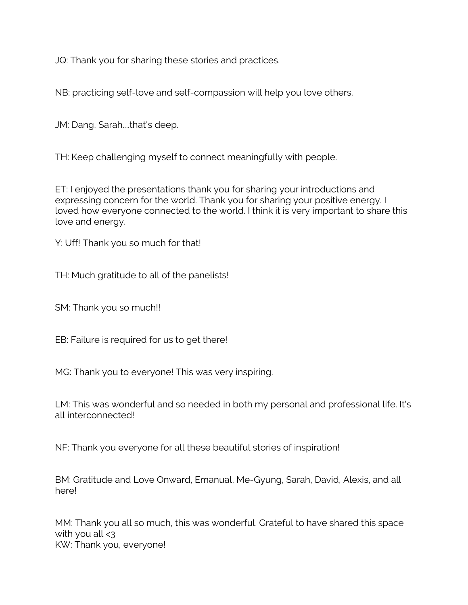JQ: Thank you for sharing these stories and practices.

NB: practicing self-love and self-compassion will help you love others.

JM: Dang, Sarah....that's deep.

TH: Keep challenging myself to connect meaningfully with people.

ET: I enjoyed the presentations thank you for sharing your introductions and expressing concern for the world. Thank you for sharing your positive energy. I loved how everyone connected to the world. I think it is very important to share this love and energy.

Y: Uff! Thank you so much for that!

TH: Much gratitude to all of the panelists!

SM: Thank you so much!!

EB: Failure is required for us to get there!

MG: Thank you to everyone! This was very inspiring.

LM: This was wonderful and so needed in both my personal and professional life. It's all interconnected!

NF: Thank you everyone for all these beautiful stories of inspiration!

BM: Gratitude and Love Onward, Emanual, Me-Gyung, Sarah, David, Alexis, and all here!

MM: Thank you all so much, this was wonderful. Grateful to have shared this space with you all  $\leq$ 3 KW: Thank you, everyone!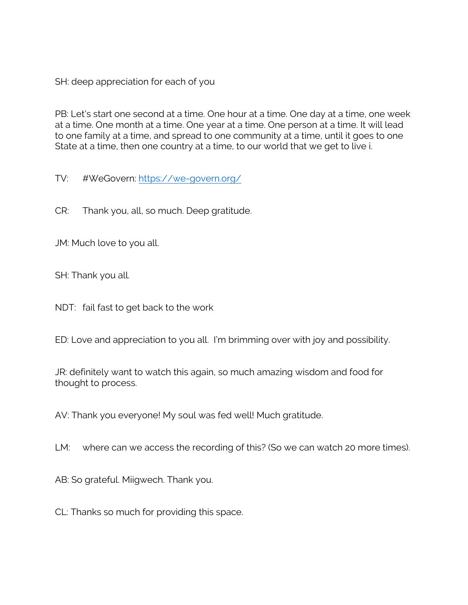SH: deep appreciation for each of you

PB: Let's start one second at a time. One hour at a time. One day at a time, one week at a time. One month at a time. One year at a time. One person at a time. It will lead to one family at a time, and spread to one community at a time, until it goes to one State at a time, then one country at a time, to our world that we get to live i.

TV: #WeGovern: https://we-govern.org/

CR: Thank you, all, so much. Deep gratitude.

JM: Much love to you all.

SH: Thank you all.

NDT: fail fast to get back to the work

ED: Love and appreciation to you all. I'm brimming over with joy and possibility.

JR: definitely want to watch this again, so much amazing wisdom and food for thought to process.

AV: Thank you everyone! My soul was fed well! Much gratitude.

LM: where can we access the recording of this? (So we can watch 20 more times).

AB: So grateful. Miigwech. Thank you.

CL: Thanks so much for providing this space.